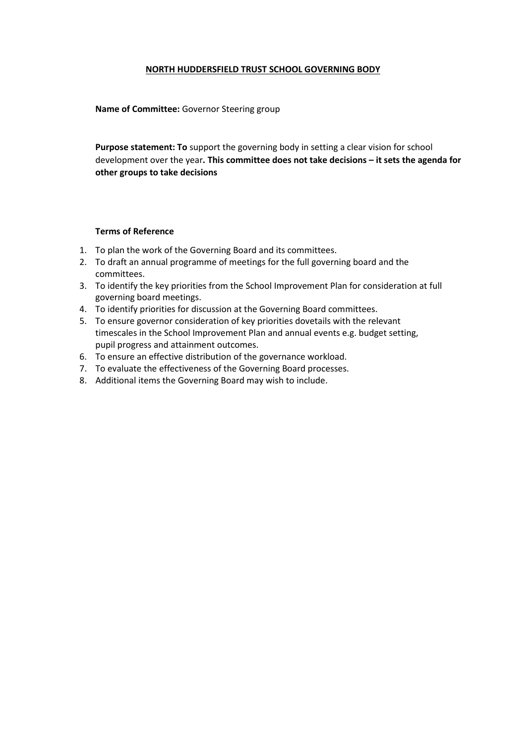#### **NORTH HUDDERSFIELD TRUST SCHOOL GOVERNING BODY**

**Name of Committee:** Governor Steering group

**Purpose statement: To** support the governing body in setting a clear vision for school development over the year**. This committee does not take decisions – it sets the agenda for other groups to take decisions**

#### **Terms of Reference**

- 1. To plan the work of the Governing Board and its committees.
- 2. To draft an annual programme of meetings for the full governing board and the committees.
- 3. To identify the key priorities from the School Improvement Plan for consideration at full governing board meetings.
- 4. To identify priorities for discussion at the Governing Board committees.
- 5. To ensure governor consideration of key priorities dovetails with the relevant timescales in the School Improvement Plan and annual events e.g. budget setting, pupil progress and attainment outcomes.
- 6. To ensure an effective distribution of the governance workload.
- 7. To evaluate the effectiveness of the Governing Board processes.
- 8. Additional items the Governing Board may wish to include.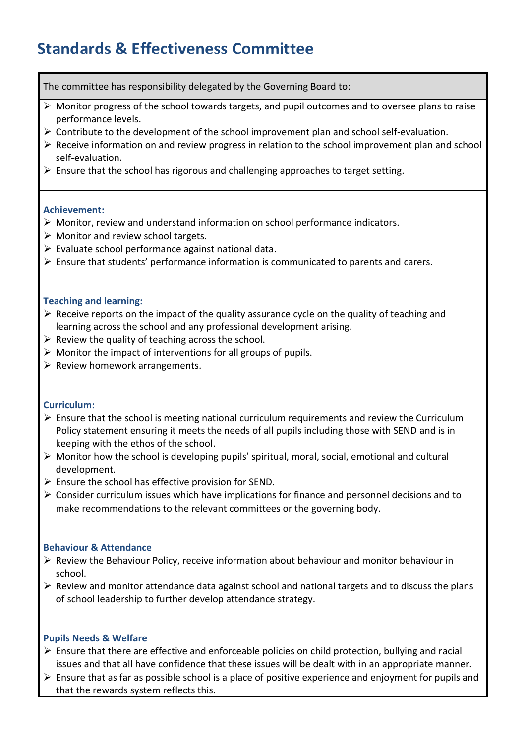# **Standards & Effectiveness Committee**

The committee has responsibility delegated by the Governing Board to:

- $\triangleright$  Monitor progress of the school towards targets, and pupil outcomes and to oversee plans to raise performance levels.
- $\triangleright$  Contribute to the development of the school improvement plan and school self-evaluation.
- Receive information on and review progress in relation to the school improvement plan and school self-evaluation.
- $\triangleright$  Ensure that the school has rigorous and challenging approaches to target setting.

#### **Achievement:**

- Monitor, review and understand information on school performance indicators.
- $\triangleright$  Monitor and review school targets.
- $\triangleright$  Evaluate school performance against national data.
- Ensure that students' performance information is communicated to parents and carers.

#### **Teaching and learning:**

- $\triangleright$  Receive reports on the impact of the quality assurance cycle on the quality of teaching and learning across the school and any professional development arising.
- $\triangleright$  Review the quality of teaching across the school.
- $\triangleright$  Monitor the impact of interventions for all groups of pupils.
- $\triangleright$  Review homework arrangements.

#### **Curriculum:**

- $\triangleright$  Ensure that the school is meeting national curriculum requirements and review the Curriculum Policy statement ensuring it meets the needs of all pupils including those with SEND and is in keeping with the ethos of the school.
- $\triangleright$  Monitor how the school is developing pupils' spiritual, moral, social, emotional and cultural development.
- $\triangleright$  Ensure the school has effective provision for SEND.
- $\triangleright$  Consider curriculum issues which have implications for finance and personnel decisions and to make recommendations to the relevant committees or the governing body.

#### **Behaviour & Attendance**

- $\triangleright$  Review the Behaviour Policy, receive information about behaviour and monitor behaviour in school.
- $\triangleright$  Review and monitor attendance data against school and national targets and to discuss the plans of school leadership to further develop attendance strategy.

#### **Pupils Needs & Welfare**

- $\triangleright$  Ensure that there are effective and enforceable policies on child protection, bullying and racial issues and that all have confidence that these issues will be dealt with in an appropriate manner.
- $\triangleright$  Ensure that as far as possible school is a place of positive experience and enjoyment for pupils and that the rewards system reflects this.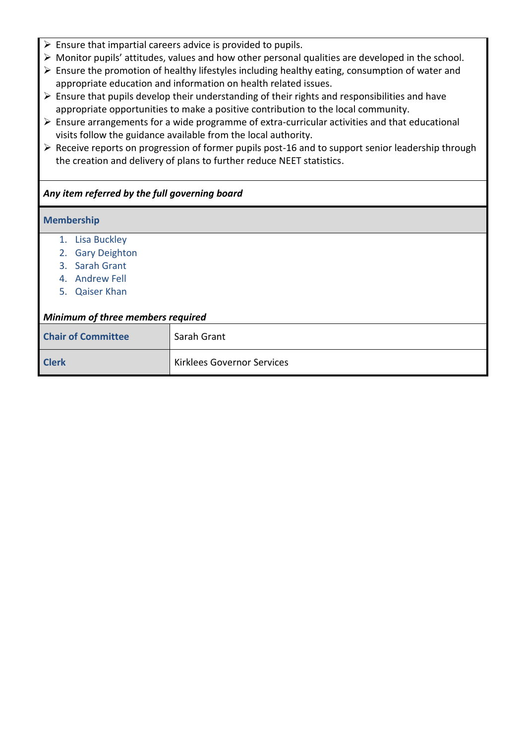- $\triangleright$  Ensure that impartial careers advice is provided to pupils.
- Monitor pupils' attitudes, values and how other personal qualities are developed in the school.
- $\triangleright$  Ensure the promotion of healthy lifestyles including healthy eating, consumption of water and appropriate education and information on health related issues.
- $\triangleright$  Ensure that pupils develop their understanding of their rights and responsibilities and have appropriate opportunities to make a positive contribution to the local community.
- $\triangleright$  Ensure arrangements for a wide programme of extra-curricular activities and that educational visits follow the guidance available from the local authority.
- $\triangleright$  Receive reports on progression of former pupils post-16 and to support senior leadership through the creation and delivery of plans to further reduce NEET statistics.

## *Any item referred by the full governing board*

#### **Membership**

- 1. Lisa Buckley
- 2. Gary Deighton
- 3. Sarah Grant
- 4. Andrew Fell
- 5. Qaiser Khan

#### *Minimum of three members required*

| <b>Chair of Committee</b> | Sarah Grant                |
|---------------------------|----------------------------|
| <b>Clerk</b>              | Kirklees Governor Services |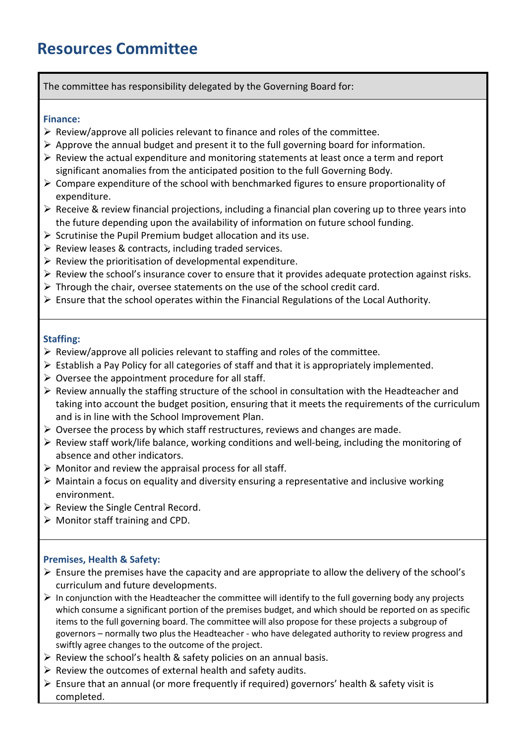# **Resources Committee**

#### The committee has responsibility delegated by the Governing Board for:

#### **Finance:**

- $\triangleright$  Review/approve all policies relevant to finance and roles of the committee.
- $\triangleright$  Approve the annual budget and present it to the full governing board for information.
- $\triangleright$  Review the actual expenditure and monitoring statements at least once a term and report significant anomalies from the anticipated position to the full Governing Body.
- $\triangleright$  Compare expenditure of the school with benchmarked figures to ensure proportionality of expenditure.
- $\triangleright$  Receive & review financial projections, including a financial plan covering up to three years into the future depending upon the availability of information on future school funding.
- $\triangleright$  Scrutinise the Pupil Premium budget allocation and its use.
- $\triangleright$  Review leases & contracts, including traded services.
- $\triangleright$  Review the prioritisation of developmental expenditure.
- $\triangleright$  Review the school's insurance cover to ensure that it provides adequate protection against risks.
- $\triangleright$  Through the chair, oversee statements on the use of the school credit card.
- $\triangleright$  Ensure that the school operates within the Financial Regulations of the Local Authority.

#### **Staffing:**

- $\triangleright$  Review/approve all policies relevant to staffing and roles of the committee.
- $\triangleright$  Establish a Pay Policy for all categories of staff and that it is appropriately implemented.
- $\triangleright$  Oversee the appointment procedure for all staff.
- $\triangleright$  Review annually the staffing structure of the school in consultation with the Headteacher and taking into account the budget position, ensuring that it meets the requirements of the curriculum and is in line with the School Improvement Plan.
- $\triangleright$  Oversee the process by which staff restructures, reviews and changes are made.
- $\triangleright$  Review staff work/life balance, working conditions and well-being, including the monitoring of absence and other indicators.
- $\triangleright$  Monitor and review the appraisal process for all staff.
- $\triangleright$  Maintain a focus on equality and diversity ensuring a representative and inclusive working environment.
- $\triangleright$  Review the Single Central Record.
- $\triangleright$  Monitor staff training and CPD.

#### **Premises, Health & Safety:**

- $\triangleright$  Ensure the premises have the capacity and are appropriate to allow the delivery of the school's curriculum and future developments.
- $\triangleright$  In conjunction with the Headteacher the committee will identify to the full governing body any projects which consume a significant portion of the premises budget, and which should be reported on as specific items to the full governing board. The committee will also propose for these projects a subgroup of governors – normally two plus the Headteacher - who have delegated authority to review progress and swiftly agree changes to the outcome of the project.
- $\triangleright$  Review the school's health & safety policies on an annual basis.
- $\triangleright$  Review the outcomes of external health and safety audits.
- Ensure that an annual (or more frequently if required) governors' health & safety visit is completed.